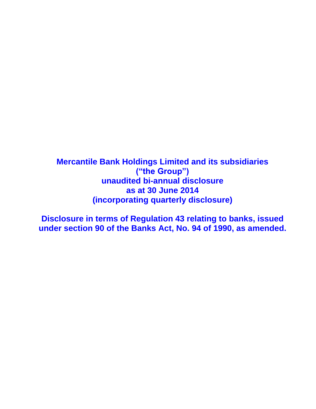**Mercantile Bank Holdings Limited and its subsidiaries ("the Group") unaudited bi-annual disclosure as at 30 June 2014 (incorporating quarterly disclosure)**

**Disclosure in terms of Regulation 43 relating to banks, issued under section 90 of the Banks Act, No. 94 of 1990, as amended.**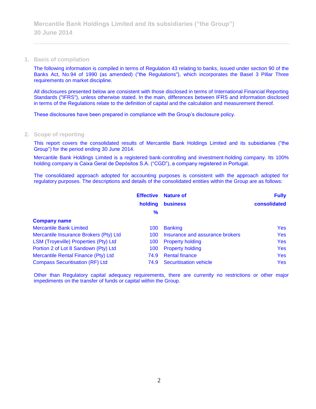**1. Basis of compilation**

The following information is compiled in terms of Regulation 43 relating to banks, issued under section 90 of the Banks Act, No.94 of 1990 (as amended) ("the Regulations"), which incorporates the Basel 3 Pillar Three requirements on market discipline.

All disclosures presented below are consistent with those disclosed in terms of International Financial Reporting Standards ("IFRS"), unless otherwise stated. In the main, differences between IFRS and information disclosed in terms of the Regulations relate to the definition of capital and the calculation and measurement thereof.

These disclosures have been prepared in compliance with the Group's disclosure policy.

#### **2. Scope of reporting**

This report covers the consolidated results of Mercantile Bank Holdings Limited and its subsidiaries ("the Group") for the period ending 30 June 2014.

Mercantile Bank Holdings Limited is a registered bank-controlling and investment-holding company. Its 100% holding company is Caixa Geral de Depósitos S.A. ("CGD"), a company registered in Portugal.

The consolidated approach adopted for accounting purposes is consistent with the approach adopted for regulatory purposes. The descriptions and details of the consolidated entities within the Group are as follows:

|                                        | <b>Effective</b> | <b>Nature of</b>                | <b>Fully</b> |
|----------------------------------------|------------------|---------------------------------|--------------|
|                                        | holding          | <b>business</b>                 | consolidated |
|                                        | %                |                                 |              |
| <b>Company name</b>                    |                  |                                 |              |
| <b>Mercantile Bank Limited</b>         | 100              | <b>Banking</b>                  | <b>Yes</b>   |
| Mercantile Insurance Brokers (Pty) Ltd | 100              | Insurance and assurance brokers | <b>Yes</b>   |
| LSM (Troyeville) Properties (Pty) Ltd  | 100              | <b>Property holding</b>         | <b>Yes</b>   |
| Portion 2 of Lot 8 Sandown (Pty) Ltd   | 100              | <b>Property holding</b>         | <b>Yes</b>   |
| Mercantile Rental Finance (Pty) Ltd    | 74.9             | <b>Rental finance</b>           | <b>Yes</b>   |
| <b>Compass Securitisation (RF) Ltd</b> | 74.9             | <b>Securitisation vehicle</b>   | <b>Yes</b>   |

Other than Regulatory capital adequacy requirements, there are currently no restrictions or other major impediments on the transfer of funds or capital within the Group.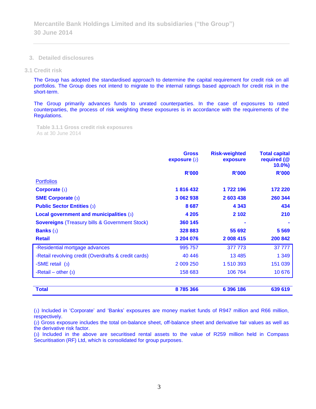**3. Detailed disclosures**

#### **3.1 Credit risk**

The Group has adopted the standardised approach to determine the capital requirement for credit risk on all portfolios. The Group does not intend to migrate to the internal ratings based approach for credit risk in the short-term.

The Group primarily advances funds to unrated counterparties. In the case of exposures to rated counterparties, the process of risk weighting these exposures is in accordance with the requirements of the Regulations.

**Table 3.1.1 Gross credit risk exposures**  As at 30 June 2014

|                                                           | <b>Gross</b><br>exposure(2) | <b>Risk-weighted</b><br>exposure | <b>Total capital</b><br>required (@<br>$10.0\%$ |
|-----------------------------------------------------------|-----------------------------|----------------------------------|-------------------------------------------------|
|                                                           | <b>R'000</b>                | <b>R'000</b>                     | <b>R'000</b>                                    |
| <b>Portfolios</b>                                         |                             |                                  |                                                 |
| <b>Corporate (1)</b>                                      | 1816432                     | 1 722 196                        | 172 220                                         |
| <b>SME Corporate (3)</b>                                  | 3 062 938                   | 2 603 438                        | 260 344                                         |
| <b>Public Sector Entities (3)</b>                         | 8687                        | 4 3 4 3                          | 434                                             |
| Local government and municipalities (3)                   | 4 2 0 5                     | 2 1 0 2                          | 210                                             |
| <b>Sovereigns (Treasury bills &amp; Government Stock)</b> | 360 145                     |                                  |                                                 |
| <b>Banks</b> $(1)$                                        | 328 883                     | 55 692                           | 5 5 6 9                                         |
| <b>Retail</b>                                             | 3 204 076                   | 2 008 415                        | 200 842                                         |
| -Residential mortgage advances                            | 995 757                     | 377 773                          | 37 777                                          |
| -Retail revolving credit (Overdrafts & credit cards)      | 40 44 6                     | 13 4 8 5                         | 1 3 4 9                                         |
| -SME retail (3)                                           | 2 009 250                   | 1 510 393                        | 151 039                                         |
| -Retail – other $(3)$                                     | 158 683                     | 106 764                          | 10 676                                          |
| <b>Total</b>                                              | 8785366                     | 6 396 186                        | 639 619                                         |

(1) Included in 'Corporate' and 'Banks' exposures are money market funds of R947 million and R66 million, respectively.

(2) Gross exposure includes the total on-balance sheet, off-balance sheet and derivative fair values as well as the derivative risk factor.

(3) Included in the above are securitised rental assets to the value of R259 million held in Compass Securitisation (RF) Ltd, which is consolidated for group purposes.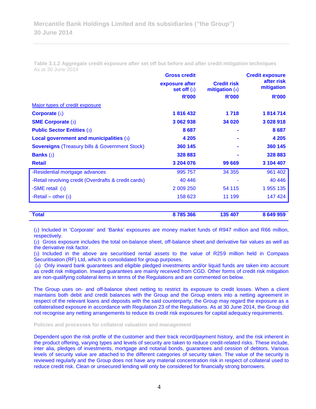**Table 3.1.2 Aggregate credit exposure after set off but before and after credit mitigation techniques** As at 30 June 2014

|                                                           | <b>Gross credit</b>                    |                                        | <b>Credit exposure</b><br>after risk<br>mitigation |  |
|-----------------------------------------------------------|----------------------------------------|----------------------------------------|----------------------------------------------------|--|
|                                                           | exposure after<br><b>set off</b> $(2)$ | <b>Credit risk</b><br>mitigation $(4)$ |                                                    |  |
|                                                           | <b>R'000</b>                           | <b>R'000</b>                           | <b>R'000</b>                                       |  |
| Major types of credit exposure                            |                                        |                                        |                                                    |  |
| <b>Corporate (1)</b>                                      | 1816432                                | 1718                                   | 1814714                                            |  |
| <b>SME Corporate (3)</b>                                  | 3 062 938                              | 34 020                                 | 3 0 28 9 18                                        |  |
| <b>Public Sector Entities (3)</b>                         | 8687                                   |                                        | 8687                                               |  |
| Local government and municipalities (3)                   | 4 2 0 5                                |                                        | 4 2 0 5                                            |  |
| <b>Sovereigns (Treasury bills &amp; Government Stock)</b> | 360 145                                |                                        | 360 145                                            |  |
| <b>Banks</b> $(1)$                                        | 328 883                                |                                        | 328 883                                            |  |
| <b>Retail</b>                                             | 3 204 076                              | 99 669                                 | 3 104 407                                          |  |
| -Residential mortgage advances                            | 995 757                                | 34 355                                 | 961 402                                            |  |
| -Retail revolving credit (Overdrafts & credit cards)      | 40 44 6                                |                                        | 40 44 6                                            |  |
| -SME retail (3)                                           | 2 009 250                              | 54 115                                 | 1 955 135                                          |  |
| -Retail – other $(3)$                                     | 158 623                                | 11 199                                 | 147 424                                            |  |

(1) Included in 'Corporate' and 'Banks' exposures are money market funds of R947 million and R66 million, respectively.

**Total 8 785 366 135 407 8 649 959**

(2) Gross exposure includes the total on-balance sheet, off-balance sheet and derivative fair values as well as the derivative risk factor.

(3) Included in the above are securitised rental assets to the value of R259 million held in Compass Securitisation (RF) Ltd, which is consolidated for group purposes.

(4) Only inward bank guarantees and eligible pledged investments and/or liquid funds are taken into account as credit risk mitigation. Inward guarantees are mainly received from CGD. Other forms of credit risk mitigation are non-qualifying collateral items in terms of the Regulations and are commented on below.

The Group uses on- and off-balance sheet netting to restrict its exposure to credit losses. When a client maintains both debit and credit balances with the Group and the Group enters into a netting agreement in respect of the relevant loans and deposits with the said counterparty, the Group may regard the exposure as a collateralised exposure in accordance with Regulation 23 of the Regulations. As at 30 June 2014, the Group did not recognise any netting arrangements to reduce its credit risk exposures for capital adequacy requirements.

**Policies and processes for collateral valuation and management**

Dependent upon the risk profile of the customer and their track record/payment history, and the risk inherent in the product offering, varying types and levels of security are taken to reduce credit-related risks. These include, inter alia, pledges of investments, mortgage and notarial bonds, guarantees and cession of debtors. Various levels of security value are attached to the different categories of security taken. The value of the security is reviewed regularly and the Group does not have any material concentration risk in respect of collateral used to reduce credit risk. Clean or unsecured lending will only be considered for financially strong borrowers.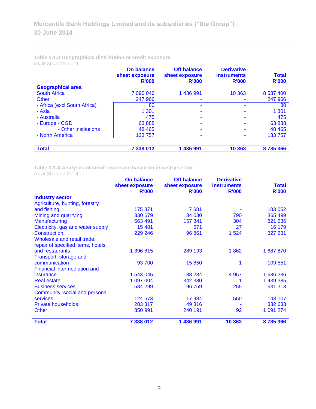#### **Table 3.1.3 Geographical distribution of credit exposure** As at 30 June 2014

|                              | <b>On balance</b><br>sheet exposure<br><b>R'000</b> | <b>Off balance</b><br>sheet exposure<br><b>R'000</b> | <b>Derivative</b><br><b>instruments</b><br><b>R'000</b> | <b>Total</b><br><b>R'000</b> |
|------------------------------|-----------------------------------------------------|------------------------------------------------------|---------------------------------------------------------|------------------------------|
| <b>Geographical area</b>     |                                                     |                                                      |                                                         |                              |
| <b>South Africa</b>          | 7 090 046                                           | 1 436 991                                            | 10 363                                                  | 8 537 400                    |
| Other                        | 247 966                                             |                                                      |                                                         | 247 966                      |
| - Africa (excl South Africa) | 80                                                  |                                                      |                                                         | 80                           |
| - Asia                       | 1 301                                               |                                                      |                                                         | 1 3 0 1                      |
| - Australia                  | 475                                                 |                                                      |                                                         | 475                          |
| - Europe - CGD               | 63888                                               |                                                      |                                                         | 63 888                       |
| - Other institutions         | 48 4 65                                             |                                                      |                                                         | 48 4 65                      |
| - North America              | 133 757                                             |                                                      |                                                         | 133 757                      |
| <b>Total</b>                 | 7 338 012                                           | 1 436 991                                            | 10 363                                                  | 8785366                      |

**Table 3.1.4 Analyses of credit exposure based on industry sector**

As at 30 June 2014

| AS AL JU JUNG ZUT4                | <b>On balance</b><br>sheet exposure | <b>Off balance</b><br>sheet exposure | <b>Derivative</b><br><b>instruments</b> | <b>Total</b> |
|-----------------------------------|-------------------------------------|--------------------------------------|-----------------------------------------|--------------|
|                                   | <b>R'000</b>                        | <b>R'000</b>                         | <b>R'000</b>                            | <b>R'000</b> |
| <b>Industry sector</b>            |                                     |                                      |                                         |              |
| Agriculture, hunting, forestry    |                                     |                                      |                                         |              |
| and fishing                       | 175 371                             | 7681                                 |                                         | 183 052      |
| Mining and quarrying              | 330 679                             | 34 030                               | 790                                     | 365 499      |
| Manufacturing                     | 663 491                             | 157841                               | 304                                     | 821 636      |
| Electricity, gas and water supply | 15 4 81                             | 671                                  | 27                                      | 16 179       |
| <b>Construction</b>               | 229 246                             | 96 861                               | 1 5 2 4                                 | 327 631      |
| Wholesale and retail trade,       |                                     |                                      |                                         |              |
| repair of specified items, hotels |                                     |                                      |                                         |              |
| and restaurants                   | 1 396 815                           | 289 193                              | 1862                                    | 1 687 870    |
| Transport, storage and            |                                     |                                      |                                         |              |
| communication                     | 93 700                              | 15850                                | 1                                       | 109 551      |
| Financial intermediation and      |                                     |                                      |                                         |              |
| insurance                         | 1 543 045                           | 88 234                               | 4 9 5 7                                 | 1 636 236    |
| <b>Real estate</b>                | 1 097 004                           | 342 380                              |                                         | 1 439 385    |
| <b>Business services</b>          | 534 299                             | 96 759                               | 255                                     | 631 313      |
| Community, social and personal    |                                     |                                      |                                         |              |
| <b>services</b>                   | 124 573                             | 17 984                               | 550                                     | 143 107      |
| <b>Private households</b>         | 283 317                             | 49 316                               |                                         | 332 633      |
| <b>Other</b>                      | 850 991                             | 240 191                              | 92                                      | 1 091 274    |
| <b>Total</b>                      | 7 338 012                           | 1 436 991                            | 10 363                                  | 8785366      |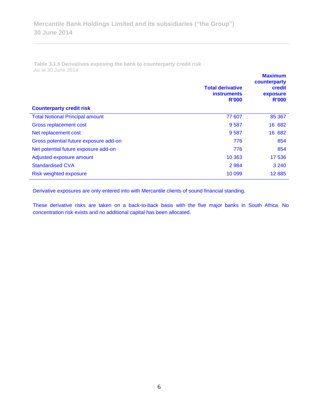**Table 3.1.5 Derivatives exposing the bank to counterparty credit risk**  As at 30 June 2014

|                                        | <b>Total derivative</b><br><b>instruments</b><br><b>R'000</b> | <b>Maximum</b><br>counterparty<br>credit<br>exposure<br><b>R'000</b> |
|----------------------------------------|---------------------------------------------------------------|----------------------------------------------------------------------|
| <b>Counterparty credit risk</b>        |                                                               |                                                                      |
| <b>Total Notional Principal amount</b> | 77 607                                                        | 85 367                                                               |
| Gross replacement cost                 | 9587                                                          | 16 682                                                               |
| Net replacement cost                   | 9587                                                          | 16 682                                                               |
| Gross potential future exposure add-on | 776                                                           | 854                                                                  |
| Net potential future exposure add-on   | 776                                                           | 854                                                                  |
| Adjusted exposure amount               | 10 363                                                        | 17 536                                                               |
| <b>Standardised CVA</b>                | 2 9 8 4                                                       | 3 2 4 0                                                              |
| Risk weighted exposure                 | 10 0 99                                                       | 12885                                                                |

Derivative exposures are only entered into with Mercantile clients of sound financial standing.

These derivative risks are taken on a back-to-back basis with the five major banks in South Africa. No concentration risk exists and no additional capital has been allocated.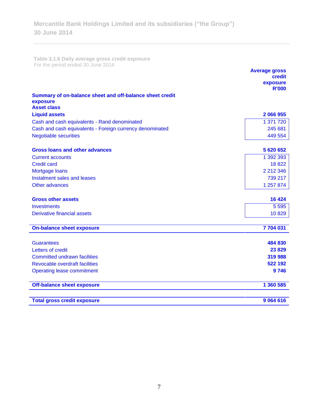**Table 3.1.6 Daily average gross credit exposure**  For the period ended 30 June 2014

|                                                          | <b>Average gross</b><br>credit<br>exposure |
|----------------------------------------------------------|--------------------------------------------|
|                                                          | <b>R'000</b>                               |
| Summary of on-balance sheet and off-balance sheet credit |                                            |
| exposure<br><b>Asset class</b>                           |                                            |
| <b>Liquid assets</b>                                     | 2 066 955                                  |
| Cash and cash equivalents - Rand denominated             | 1 371 720                                  |
| Cash and cash equivalents - Foreign currency denominated | 245 681                                    |
| <b>Negotiable securities</b>                             | 449 554                                    |
|                                                          |                                            |
| <b>Gross loans and other advances</b>                    | 5 620 652                                  |
| <b>Current accounts</b>                                  | 1 392 393                                  |
| <b>Credit card</b>                                       | 18822                                      |
| Mortgage loans<br>Instalment sales and leases            | 2 212 346<br>739 217                       |
| Other advances                                           | 1 257 874                                  |
|                                                          |                                            |
| <b>Gross other assets</b>                                | 16 4 24                                    |
| <b>Investments</b>                                       | 5 5 9 5                                    |
| <b>Derivative financial assets</b>                       | 10829                                      |
| <b>On-balance sheet exposure</b>                         | 7 704 031                                  |
|                                                          |                                            |
| <b>Guarantees</b>                                        | 484 830                                    |
| Letters of credit                                        | 23829                                      |
| <b>Committed undrawn facilities</b>                      | 319 988                                    |
| Revocable overdraft facilities                           | 522 192                                    |
| <b>Operating lease commitment</b>                        | 9746                                       |
| <b>Off-balance sheet exposure</b>                        | 1 360 585                                  |
| <b>Total gross credit exposure</b>                       | 9 0 6 4 6 1 6                              |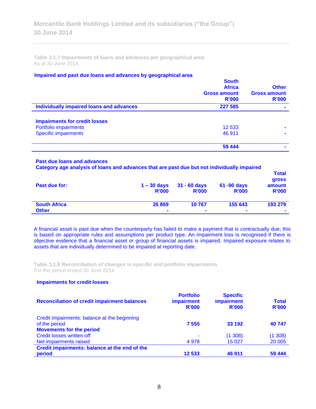**Table 3.1.7 Impairments of loans and advances per geographical area**  As at 30 June 2014

#### **Impaired and past due loans and advances by geographical area**

| <b>South</b><br><b>Africa</b><br><b>Gross amount</b><br>R'000 | <b>Other</b><br><b>Gross amount</b><br><b>R'000</b> |
|---------------------------------------------------------------|-----------------------------------------------------|
| 227 585                                                       |                                                     |
|                                                               |                                                     |
| 12 533                                                        |                                                     |
| 46 911                                                        |                                                     |
| 59 444                                                        |                                                     |
|                                                               |                                                     |

#### **Past due loans and advances**

**Category age analysis of loans and advances that are past due but not individually impaired** 

| Past due for:       | $1 - 30$ days<br><b>R'000</b> | $31 - 60$ days<br><b>R'000</b> | 61 -90 days<br><b>R'000</b> | <b>Total</b><br>gross<br>amount<br><b>R'000</b> |
|---------------------|-------------------------------|--------------------------------|-----------------------------|-------------------------------------------------|
| <b>South Africa</b> | 26 869                        | 10767                          | 155 643                     | 193 279                                         |
| <b>Other</b>        | ٠                             | $\blacksquare$                 | $\overline{\phantom{a}}$    | $\blacksquare$                                  |

A financial asset is past due when the counterparty has failed to make a payment that is contractually due; this is based on appropriate rules and assumptions per product type. An impairment loss is recognised if there is objective evidence that a financial asset or group of financial assets is impaired. Impaired exposure relates to assets that are individually determined to be impaired at reporting date.

**Table 3.1.8 Reconciliation of changes in specific and portfolio impairments**  For the period ended 30 June 2014

#### **Impairments for credit losses**

| <b>Reconciliation of credit impairment balances</b> | <b>Portfolio</b><br>impairment<br>R'000 | <b>Specific</b><br><b>impairment</b><br>R'000 | <b>Total</b><br><b>R'000</b> |
|-----------------------------------------------------|-----------------------------------------|-----------------------------------------------|------------------------------|
| Credit impairments: balance at the beginning        |                                         |                                               |                              |
| of the period                                       | 7 5 5 5                                 | 33 192                                        | 40747                        |
| <b>Movements for the period</b>                     |                                         |                                               |                              |
| <b>Credit losses written-off</b>                    | ۰                                       | (1308)                                        | (1308)                       |
| Net impairments raised                              | 4 9 7 8                                 | 15 0 27                                       | 20 005                       |
| Credit impairments: balance at the end of the       |                                         |                                               |                              |
| period                                              | 12 533                                  | 46 911                                        | 59 4 44                      |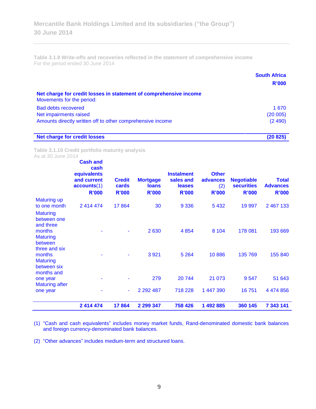**Table 3.1.9 Write-offs and recoveries reflected in the statement of comprehensive income** For the period ended 30 June 2014

|                                                                                                | <b>South Africa</b><br>R'000 |
|------------------------------------------------------------------------------------------------|------------------------------|
| Net charge for credit losses in statement of comprehensive income<br>Movements for the period: |                              |
| <b>Bad debts recovered</b>                                                                     | 1 670                        |
| Net impairments raised                                                                         | (20005)                      |
| Amounts directly written off to other comprehensive income                                     | (2490)                       |
| <b>Net charge for credit losses</b>                                                            | (20 825)                     |

**Table 3.1.10 Credit portfolio maturity analysis**

As at 30 June 2014

|                                                        | <b>Cash and</b><br>cash<br>equivalents<br>and current<br>accounts(1)<br><b>R'000</b> | <b>Credit</b><br>cards<br><b>R'000</b> | <b>Mortgage</b><br><b>loans</b><br><b>R'000</b> | <b>Instalment</b><br>sales and<br>leases<br><b>R'000</b> | <b>Other</b><br>advances<br>(2)<br><b>R'000</b> | <b>Negotiable</b><br><b>securities</b><br><b>R'000</b> | <b>Total</b><br><b>Advances</b><br><b>R'000</b> |
|--------------------------------------------------------|--------------------------------------------------------------------------------------|----------------------------------------|-------------------------------------------------|----------------------------------------------------------|-------------------------------------------------|--------------------------------------------------------|-------------------------------------------------|
| <b>Maturing up</b><br>to one month                     | 2 414 474                                                                            | 17864                                  | 30                                              | 9 3 3 6                                                  | 5 4 3 2                                         | 19 997                                                 | 2 467 133                                       |
| <b>Maturing</b><br>between one<br>and three            |                                                                                      |                                        |                                                 |                                                          |                                                 |                                                        |                                                 |
| months<br><b>Maturing</b><br>between<br>three and six  |                                                                                      |                                        | 2630                                            | 4 8 5 4                                                  | 8 1 0 4                                         | 178 081                                                | 193 669                                         |
| months<br><b>Maturing</b><br>between six<br>months and |                                                                                      |                                        | 3 9 21                                          | 5 2 6 4                                                  | 10886                                           | 135 769                                                | 155 840                                         |
| one year<br><b>Maturing after</b>                      |                                                                                      |                                        | 279                                             | 20 744                                                   | 21 073                                          | 9547                                                   | 51 643                                          |
| one year                                               |                                                                                      | ۰                                      | 2 2 9 2 4 8 7                                   | 718 228                                                  | 1 447 390                                       | 16751                                                  | 4 474 856                                       |
|                                                        | 2 414 474                                                                            | 17864                                  | 2 299 347                                       | 758 426                                                  | 1 492 885                                       | 360 145                                                | 7 343 141                                       |

(1) "Cash and cash equivalents" includes money market funds, Rand-denominated domestic bank balances and foreign currency-denominated bank balances.

(2) "Other advances" includes medium-term and structured loans.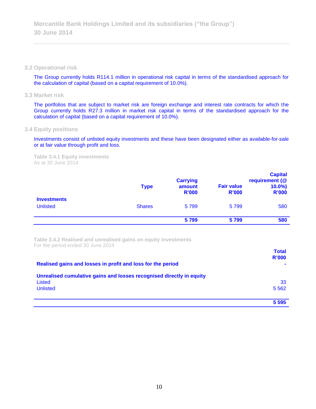#### **3.2 Operational risk**

The Group currently holds R114.1 million in operational risk capital in terms of the standardised approach for the calculation of capital (based on a capital requirement of 10.0%).

### **3.3 Market risk**

The portfolios that are subject to market risk are foreign exchange and interest rate contracts for which the Group currently holds R27.3 million in market risk capital in terms of the standardised approach for the calculation of capital (based on a capital requirement of 10.0%).

#### **3.4 Equity positions**

Investments consist of unlisted equity investments and these have been designated either as available-for-sale or at fair value through profit and loss.

**Table 3.4.1 Equity investments** As at 30 June 2014

|                                       | <b>Type</b>   | <b>Carrying</b><br>amount<br><b>R'000</b> | <b>Fair value</b><br><b>R'000</b> | <b>Capital</b><br>requirement (@<br>$10.0\%$<br><b>R'000</b> |
|---------------------------------------|---------------|-------------------------------------------|-----------------------------------|--------------------------------------------------------------|
| <b>Investments</b><br><b>Unlisted</b> | <b>Shares</b> | 5799                                      | 5799                              | 580                                                          |
|                                       |               | 5799                                      | 5799                              | 580                                                          |

**Table 3.4.2 Realised and unrealised gains on equity investments** For the period ended 30 June 2014

|                                                                      | <b>Total</b>   |
|----------------------------------------------------------------------|----------------|
|                                                                      | <b>R'000</b>   |
| Realised gains and losses in profit and loss for the period          | $\blacksquare$ |
| Unrealised cumulative gains and losses recognised directly in equity |                |
| Listed                                                               | 33             |
| <b>Unlisted</b>                                                      | 5 5 6 2        |
|                                                                      |                |
|                                                                      | 5 5 9 5        |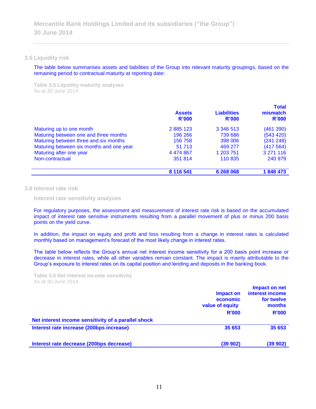#### **3.5 Liquidity risk**

The table below summarises assets and liabilities of the Group into relevant maturity groupings, based on the remaining period to contractual maturity at reporting date:

**Table 3.5 Liquidity maturity analyses** As at 30 June 2014

|                                          | <b>Assets</b><br>R'000 | <b>Liabilities</b><br>R'000 | <b>Total</b><br>mismatch<br>R'000 |
|------------------------------------------|------------------------|-----------------------------|-----------------------------------|
| Maturing up to one month                 | 2885123                | 3 346 513                   | (461 390)                         |
| Maturing between one and three months    | 196 266                | 739 686                     | (543 420)                         |
| Maturing between three and six months    | 156 758                | 398 006                     | (241 248)                         |
| Maturing between six months and one year | 51 713                 | 469 277                     | (417564)                          |
| Maturing after one year                  | 4 474 867              | 1 203 751                   | 3 271 116                         |
| Non-contractual                          | 351 814                | 110 835                     | 240 979                           |
|                                          | 8 116 541              | 6 268 068                   | 1848473                           |

#### **3.6 Interest rate risk**

**Interest rate sensitivity analyses**

For regulatory purposes, the assessment and measurement of interest rate risk is based on the accumulated impact of interest rate sensitive instruments resulting from a parallel movement of plus or minus 200 basis points on the yield curve.

In addition, the impact on equity and profit and loss resulting from a change in interest rates is calculated monthly based on management's forecast of the most likely change in interest rates.

The table below reflects the Group's annual net interest income sensitivity for a 200 basis point increase or decrease in interest rates, while all other variables remain constant. The impact is mainly attributable to the Group's exposure to interest rates on its capital position and lending and deposits in the banking book.

**Table 3.6 Net interest income sensitivity** As at 30 June 2014

|                                                     | Impact on<br>economic<br>value of equity<br><b>R'000</b> | Impact on net<br>interest income<br>for twelve<br>months<br><b>R'000</b> |
|-----------------------------------------------------|----------------------------------------------------------|--------------------------------------------------------------------------|
| Net interest income sensitivity of a parallel shock |                                                          |                                                                          |
| Interest rate increase (200bps increase)            | 35 653                                                   | 35 653                                                                   |
| Interest rate decrease (200bps decrease)            | (39902)                                                  | (39902)                                                                  |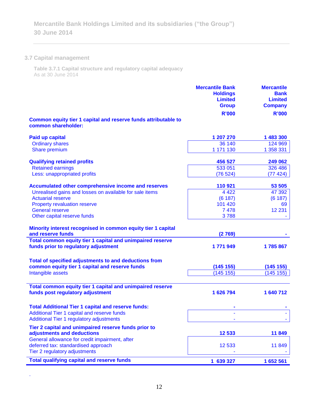# **3.7 Capital management**

.

**Table 3.7.1 Capital structure and regulatory capital adequacy** As at 30 June 2014

|                                                                                       | <b>Mercantile Bank</b><br><b>Holdings</b><br><b>Limited</b><br><b>Group</b> | <b>Mercantile</b><br><b>Bank</b><br><b>Limited</b><br><b>Company</b> |
|---------------------------------------------------------------------------------------|-----------------------------------------------------------------------------|----------------------------------------------------------------------|
|                                                                                       | <b>R'000</b>                                                                | <b>R'000</b>                                                         |
| Common equity tier 1 capital and reserve funds attributable to<br>common shareholder: |                                                                             |                                                                      |
| Paid up capital                                                                       | 1 207 270                                                                   | 1 483 300                                                            |
| <b>Ordinary shares</b>                                                                | 36 140                                                                      | 124 969                                                              |
| Share premium                                                                         | 1 171 130                                                                   | 1 358 331                                                            |
| <b>Qualifying retained profits</b>                                                    | 456 527                                                                     | 249 062                                                              |
| <b>Retained earnings</b>                                                              | 533 051                                                                     | 326 486                                                              |
| Less: unappropriated profits                                                          | (76524)                                                                     | (77 424)                                                             |
| Accumulated other comprehensive income and reserves                                   | 110 921                                                                     | 53 505                                                               |
| Unrealised gains and losses on available for sale items                               | 4 4 2 2                                                                     | 47 392                                                               |
| <b>Actuarial reserve</b>                                                              | (6187)                                                                      | (6187)                                                               |
| Property revaluation reserve                                                          | 101 420                                                                     | 69                                                                   |
| <b>General reserve</b>                                                                | 7 4 7 8                                                                     | 12 2 31                                                              |
| Other capital reserve funds                                                           | 3788                                                                        |                                                                      |
| Minority interest recognised in common equity tier 1 capital<br>and reserve funds     | (2769)                                                                      |                                                                      |
| Total common equity tier 1 capital and unimpaired reserve                             |                                                                             |                                                                      |
| funds prior to regulatory adjustment                                                  | 1771949                                                                     | 1785867                                                              |
| Total of specified adjustments to and deductions from                                 |                                                                             |                                                                      |
| common equity tier 1 capital and reserve funds                                        | (145 155)                                                                   | (145 155)                                                            |
| Intangible assets                                                                     | (145 155)                                                                   | (145 155)                                                            |
| Total common equity tier 1 capital and unimpaired reserve                             |                                                                             |                                                                      |
| funds post regulatory adjustment                                                      | 1 626 794                                                                   | 1 640 712                                                            |
| <b>Total Additional Tier 1 capital and reserve funds:</b>                             |                                                                             |                                                                      |
| <b>Additional Tier 1 capital and reserve funds</b>                                    |                                                                             |                                                                      |
| Additional Tier 1 regulatory adjustments                                              |                                                                             |                                                                      |
| Tier 2 capital and unimpaired reserve funds prior to                                  |                                                                             |                                                                      |
| adjustments and deductions                                                            | 12 533                                                                      | 11849                                                                |
| General allowance for credit impairment, after<br>deferred tax: standardised approach | 12 533                                                                      | 11849                                                                |
| Tier 2 regulatory adjustments                                                         |                                                                             |                                                                      |
| <b>Total qualifying capital and reserve funds</b>                                     | 1 639 327                                                                   | 1652561                                                              |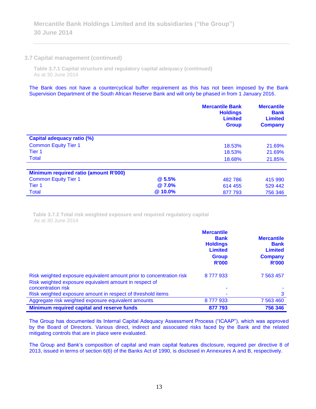#### **3.7 Capital management (continued)**

**Table 3.7.1 Capital structure and regulatory capital adequacy (continued)** As at 30 June 2014

The Bank does not have a countercyclical buffer requirement as this has not been imposed by the Bank Supervision Department of the South African Reserve Bank and will only be phased in from 1 January 2016.

|                                       |              | <b>Mercantile Bank</b><br><b>Holdings</b><br><b>Limited</b><br><b>Group</b> | <b>Mercantile</b><br><b>Bank</b><br><b>Limited</b><br><b>Company</b> |
|---------------------------------------|--------------|-----------------------------------------------------------------------------|----------------------------------------------------------------------|
| <b>Capital adequacy ratio (%)</b>     |              |                                                                             |                                                                      |
| <b>Common Equity Tier 1</b>           |              | 18.53%                                                                      | 21.69%                                                               |
| Tier <sub>1</sub>                     |              | 18.53%                                                                      | 21.69%                                                               |
| <b>Total</b>                          |              | 18.68%                                                                      | 21.85%                                                               |
|                                       |              |                                                                             |                                                                      |
| Minimum required ratio (amount R'000) |              |                                                                             |                                                                      |
| <b>Common Equity Tier 1</b>           | <b>@5.5%</b> | 482 786                                                                     | 415 990                                                              |
| Tier 1                                | <b>@7.0%</b> | 614 455                                                                     | 529 442                                                              |
| <b>Total</b>                          | @ 10.0%      | 877 793                                                                     | 756 346                                                              |

**Table 3.7.2 Total risk weighted exposure and required regulatory capital** As at 30 June 2014

|                                                                                                                                | <b>Mercantile</b><br><b>Bank</b><br><b>Holdings</b><br><b>Limited</b><br><b>Group</b><br><b>R'000</b> | <b>Mercantile</b><br><b>Bank</b><br><b>Limited</b><br><b>Company</b><br><b>R'000</b> |
|--------------------------------------------------------------------------------------------------------------------------------|-------------------------------------------------------------------------------------------------------|--------------------------------------------------------------------------------------|
| Risk weighted exposure equivalent amount prior to concentration risk<br>Risk weighted exposure equivalent amount in respect of | 8777933                                                                                               | 7 5 63 4 57                                                                          |
| concentration risk                                                                                                             |                                                                                                       |                                                                                      |
| Risk weighted exposure amount in respect of threshold items                                                                    |                                                                                                       | 3                                                                                    |
| Aggregate risk weighted exposure equivalent amounts                                                                            | 8777933                                                                                               | 7 563 460                                                                            |
| Minimum required capital and reserve funds                                                                                     | 877 793                                                                                               | 756 346                                                                              |

The Group has documented its Internal Capital Adequacy Assessment Process ("ICAAP"), which was approved by the Board of Directors. Various direct, indirect and associated risks faced by the Bank and the related mitigating controls that are in place were evaluated.

The Group and Bank's composition of capital and main capital features disclosure, required per directive 8 of 2013, issued in terms of section 6(6) of the Banks Act of 1990, is disclosed in Annexures A and B, respectively.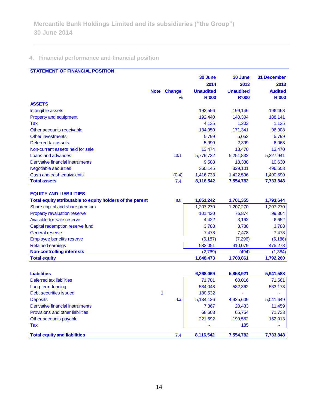# **4. Financial performance and financial position**

| <b>STATEMENT OF FINANCIAL POSITION</b>                    |                    |                  |                  |                    |
|-----------------------------------------------------------|--------------------|------------------|------------------|--------------------|
|                                                           |                    | 30 June          | 30 June          | <b>31 December</b> |
|                                                           |                    | 2014             | 2013             | 2013               |
|                                                           | <b>Note Change</b> | <b>Unaudited</b> | <b>Unaudited</b> | <b>Audited</b>     |
|                                                           | %                  | <b>R'000</b>     | <b>R'000</b>     | <b>R'000</b>       |
| <b>ASSETS</b>                                             |                    |                  |                  |                    |
| Intangible assets                                         |                    | 193,556          | 199,146          | 196,468            |
| Property and equipment                                    |                    | 192,440          | 140,304          | 188,141            |
| Tax                                                       |                    | 4,135            | 1,203            | 1,125              |
| Other accounts receivable                                 |                    | 134,950          | 171,341          | 96,908             |
| <b>Other investments</b>                                  |                    | 5,799            | 5,052            | 5,799              |
| Deferred tax assets                                       |                    | 5,990            | 2,399            | 6,068              |
| Non-current assets held for sale                          |                    | 13,474           | 13,470           | 13,470             |
| Loans and advances                                        | 10.1               | 5,779,732        | 5,251,832        | 5,227,941          |
| <b>Derivative financial instruments</b>                   |                    | 9,588            | 18,338           | 10,630             |
| <b>Negotiable securities</b>                              |                    | 360,145          | 329,101          | 496,608            |
| Cash and cash equivalents                                 | (0.4)              | 1,416,733        | 1,422,596        | 1,490,690          |
| <b>Total assets</b>                                       | 7.4                | 8,116,542        | 7,554,782        | 7,733,848          |
|                                                           |                    |                  |                  |                    |
| <b>EQUITY AND LIABILITIES</b>                             |                    |                  |                  |                    |
| Total equity attributable to equity holders of the parent | 8.8                | 1,851,242        | 1,701,355        | 1,793,644          |
| Share capital and share premium                           |                    | 1,207,270        | 1,207,270        | 1,207,270          |
| <b>Property revaluation reserve</b>                       |                    | 101,420          | 76,874           | 99,364             |
| Available-for-sale reserve                                |                    | 4,422            | 3,162            | 6,652              |
| Capital redemption reserve fund                           |                    | 3,788            | 3,788            | 3,788              |
| <b>General reserve</b>                                    |                    | 7,478            | 7,478            | 7,478              |
| Employee benefits reserve                                 |                    | (6, 187)         | (7, 296)         | (6, 186)           |
| <b>Retained earnings</b>                                  |                    | 533,051          | 410,079          | 475,278            |
| <b>Non-controlling interests</b>                          |                    | (2,769)          | (494)            | (1, 384)           |
| <b>Total equity</b>                                       |                    | 1,848,473        | 1,700,861        | 1,792,260          |
|                                                           |                    |                  |                  |                    |
| <b>Liabilities</b>                                        |                    | 6,268,069        | 5,853,921        | 5,941,588          |
| <b>Deferred tax liabilities</b>                           |                    | 71,701           | 60,016           | 71,561             |
| Long-term funding                                         |                    | 584,048          | 582,362          | 583,173            |
| <b>Debt securities issued</b>                             | 1                  | 180,532          |                  |                    |
| <b>Deposits</b>                                           | 4.2                | 5,134,126        | 4,925,609        | 5,041,649          |
| Derivative financial instruments                          |                    | 7,367            | 20,433           | 11,459             |
| Provisions and other liabilities                          |                    | 68,603           | 65,754           | 71,733             |
| Other accounts payable                                    |                    | 221,692          | 199,562          | 162,013            |
| <b>Tax</b>                                                |                    |                  | 185              |                    |
|                                                           |                    |                  |                  |                    |
| <b>Total equity and liabilities</b>                       | 7.4                | 8,116,542        | 7,554,782        | 7,733,848          |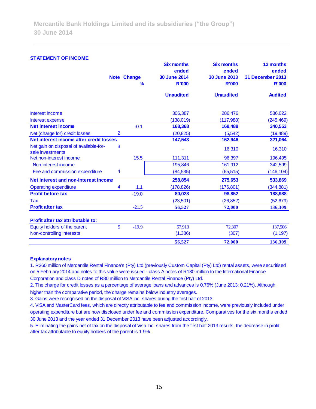#### **STATEMENT OF INCOME**

|                                                            |                | <b>Note Change</b><br>$\frac{9}{6}$ | <b>Six months</b><br>ended<br><b>30 June 2014</b><br><b>R'000</b> | <b>Six months</b><br>ended<br><b>30 June 2013</b><br><b>R'000</b> | 12 months<br>ended<br><b>31 December 2013</b><br><b>R'000</b> |
|------------------------------------------------------------|----------------|-------------------------------------|-------------------------------------------------------------------|-------------------------------------------------------------------|---------------------------------------------------------------|
|                                                            |                |                                     | <b>Unaudited</b>                                                  | <b>Unaudited</b>                                                  | <b>Audited</b>                                                |
| Interest income                                            |                |                                     | 306,387                                                           | 286,476                                                           | 586,022                                                       |
| Interest expense                                           |                |                                     | (138,019)                                                         | (117,988)                                                         | (245, 469)                                                    |
| <b>Net interest income</b>                                 |                | $-0.1$                              | 168,368                                                           | 168,488                                                           | 340,553                                                       |
| Net (charge for) credit losses                             | $\overline{2}$ |                                     | (20, 825)                                                         | (5, 542)                                                          | (19, 489)                                                     |
| Net interest income after credit losses                    |                |                                     | 147,543                                                           | 162,946                                                           | 321,064                                                       |
| Net gain on disposal of available-for-<br>sale investments | 3              |                                     |                                                                   | 16,310                                                            | 16,310                                                        |
| Net non-interest income                                    |                | 15.5                                | 111,311                                                           | 96,397                                                            | 196,495                                                       |
| Non-interest income                                        |                |                                     | 195,846                                                           | 161,912                                                           | 342,599                                                       |
| Fee and commission expenditure                             | 4              |                                     | (84, 535)                                                         | (65, 515)                                                         | (146, 104)                                                    |
| Net interest and non-interest income                       |                |                                     | 258,854                                                           | 275,653                                                           | 533,869                                                       |
| <b>Operating expenditure</b>                               | $\overline{4}$ | 1.1                                 | (178, 826)                                                        | (176, 801)                                                        | (344, 881)                                                    |
| <b>Profit before tax</b>                                   |                | $-19.0$                             | 80,028                                                            | 98,852                                                            | 188,988                                                       |
| Tax                                                        |                |                                     | (23, 501)                                                         | (26, 852)                                                         | (52, 679)                                                     |
| <b>Profit after tax</b>                                    |                | $-21.5$                             | 56,527                                                            | 72,000                                                            | 136,309                                                       |
| Profit after tax attributable to:                          |                |                                     |                                                                   |                                                                   |                                                               |
| Equity holders of the parent                               | 5              | $-19.9$                             | 57,913                                                            | 72,307                                                            | 137,506                                                       |
| Non-controlling interests                                  |                |                                     | (1,386)                                                           | (307)                                                             | (1, 197)                                                      |
|                                                            |                |                                     | 56,527                                                            | 72,000                                                            | 136,309                                                       |

#### **Explanatory notes**

1. R260 million of Mercantile Rental Finance's (Pty) Ltd (previously Custom Capital (Pty) Ltd) rental assets, were securitised on 5 February 2014 and notes to this value were issued - class A notes of R180 million to the International Finance Corporation and class D notes of R80 million to Mercantile Rental Finance (Pty) Ltd.

2. The charge for credit losses as a percentage of average loans and advances is 0.76% (June 2013: 0.21%). Although higher than the comparative period, the charge remains below industry averages.

3. Gains were recognised on the disposal of VISA Inc. shares during the first half of 2013.

4. VISA and MasterCard fees, which are directly attributable to fee and commission income, were previously included under operating expenditure but are now disclosed under fee and commission expenditure. Comparatives for the six months ended 30 June 2013 and the year ended 31 December 2013 have been adjusted accordingly.

5. Eliminating the gains net of tax on the disposal of Visa Inc. shares from the first half 2013 results, the decrease in profit after tax attributable to equity holders of the parent is 1.9%.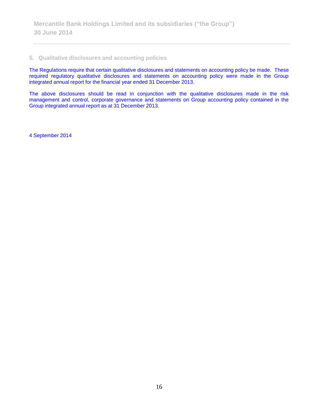### **5. Qualitative disclosures and accounting policies**

The Regulations require that certain qualitative disclosures and statements on accounting policy be made. These required regulatory qualitative disclosures and statements on accounting policy were made in the Group integrated annual report for the financial year ended 31 December 2013.

The above disclosures should be read in conjunction with the qualitative disclosures made in the risk management and control, corporate governance and statements on Group accounting policy contained in the Group integrated annual report as at 31 December 2013.

4 September 2014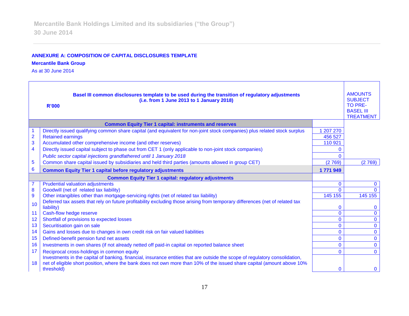## **ANNEXURE A: COMPOSITION OF CAPITAL DISCLOSURES TEMPLATE**

## **Mercantile Bank Group**

As at 30 June 2014

| Basel III common disclosures template to be used during the transition of regulatory adjustments<br>(i.e. from 1 June 2013 to 1 January 2018)<br><b>R'000</b> |                                                                                                                                                                                                                                                         |                |                |  |
|---------------------------------------------------------------------------------------------------------------------------------------------------------------|---------------------------------------------------------------------------------------------------------------------------------------------------------------------------------------------------------------------------------------------------------|----------------|----------------|--|
|                                                                                                                                                               | <b>Common Equity Tier 1 capital: instruments and reserves</b>                                                                                                                                                                                           |                |                |  |
|                                                                                                                                                               | Directly issued qualifying common share capital (and equivalent for non-joint stock companies) plus related stock surplus                                                                                                                               | 1 207 270      |                |  |
| $\overline{2}$                                                                                                                                                | <b>Retained earnings</b>                                                                                                                                                                                                                                | 456 527        |                |  |
| 3                                                                                                                                                             | Accumulated other comprehensive income (and other reserves)                                                                                                                                                                                             | 110 921        |                |  |
| $\overline{\mathbf{4}}$                                                                                                                                       | Directly issued capital subject to phase out from CET 1 (only applicable to non-joint stock companies)                                                                                                                                                  |                |                |  |
|                                                                                                                                                               | Public sector capital injections grandfathered until 1 January 2018                                                                                                                                                                                     | $\Omega$       |                |  |
| 5                                                                                                                                                             | Common share capital issued by subsidiaries and held third parties (amounts allowed in group CET)                                                                                                                                                       | (2769)         | (2769)         |  |
| 6                                                                                                                                                             | <b>Common Equity Tier 1 capital before regulatory adjustments</b>                                                                                                                                                                                       | 1771949        |                |  |
|                                                                                                                                                               | <b>Common Equity Tier 1 capital: regulatory adjustments</b>                                                                                                                                                                                             |                |                |  |
| $\overline{7}$                                                                                                                                                | <b>Prudential valuation adjustments</b>                                                                                                                                                                                                                 | 0              | 0              |  |
| $\bf{8}$                                                                                                                                                      | Goodwill (net of related tax liability)                                                                                                                                                                                                                 | $\Omega$       |                |  |
| 9                                                                                                                                                             | Other intangibles other than mortgage-servicing rights (net of related tax liability)                                                                                                                                                                   | 145 155        | 145 155        |  |
| 10                                                                                                                                                            | Deferred tax assets that rely on future profitability excluding those arising from temporary differences (net of related tax<br>liability)                                                                                                              | 0              | $\mathbf{0}$   |  |
| 11                                                                                                                                                            | Cash-flow hedge reserve                                                                                                                                                                                                                                 | $\overline{0}$ | $\Omega$       |  |
| 12                                                                                                                                                            | Shortfall of provisions to expected losses                                                                                                                                                                                                              | 0              | $\mathbf 0$    |  |
| 13                                                                                                                                                            | Securitisation gain on sale                                                                                                                                                                                                                             | 0              | 0              |  |
| 14                                                                                                                                                            | Gains and losses due to changes in own credit risk on fair valued liabilities                                                                                                                                                                           | $\mathbf{0}$   | $\mathbf{0}$   |  |
| 15                                                                                                                                                            | Defined-benefit pension fund net assets                                                                                                                                                                                                                 | $\mathbf{0}$   | $\overline{0}$ |  |
| 16                                                                                                                                                            | Investments in own shares (if not already netted off paid-in capital on reported balance sheet                                                                                                                                                          | $\mathbf{0}$   | $\mathbf{0}$   |  |
| 17                                                                                                                                                            | Reciprocal cross-holdings in common equity                                                                                                                                                                                                              | $\Omega$       | $\Omega$       |  |
| 18                                                                                                                                                            | Investments in the capital of banking, financial, insurance entities that are outside the scope of regulatory consolidation,<br>net of eligible short position, where the bank does not own more than 10% of the issued share capital (amount above 10% |                |                |  |
|                                                                                                                                                               | threshold)                                                                                                                                                                                                                                              | $\Omega$       | $\mathbf{0}$   |  |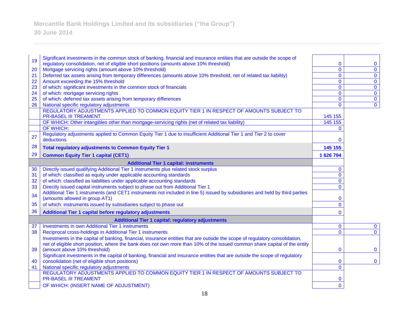| 19 | Significant investments in the common stock of banking, financial and insurance entities that are outside the scope of              |                             |                               |
|----|-------------------------------------------------------------------------------------------------------------------------------------|-----------------------------|-------------------------------|
|    | regulatory consolidation, net of eligible short positions (amounts above 10% threshold)                                             | $\bf{0}$                    | $\bf{0}$                      |
| 20 | Mortgage servicing rights (amount above 10% threshold)                                                                              | $\mathbf{0}$                | $\overline{0}$                |
| 21 | Deferred tax assets arising from temporary differences (amounts above 10% threshold, net of related tax liability)                  | $\mathbf 0$                 | $\mathbf 0$                   |
| 22 | Amount exceeding the 15% threshold                                                                                                  | $\mathbf 0$                 | $\pmb{0}$                     |
| 23 | of which: significant investments in the common stock of financials                                                                 | $\mathbf{0}$                | $\overline{0}$                |
| 24 | of which: mortgage servicing rights                                                                                                 | $\mathbf{0}$                | $\mathbf 0$                   |
| 25 | of which: deferred tax assets arising from temporary differences                                                                    | $\overline{0}$              | $\overline{\mathbf{0}}$       |
| 26 | National specific regulatory adjustments                                                                                            | $\mathbf{0}$                | $\overline{0}$                |
|    | REGULATORY ADJUSTMENTS APPLIED TO COMMON EQUITY TIER 1 IN RESPECT OF AMOUNTS SUBJECT TO                                             |                             |                               |
|    | <b>PR-BASEL III TREAMENT</b>                                                                                                        | 145 155                     |                               |
|    | OF WHICH: Other intangibles other than mortgage-servicing rights (net of related tax liability)                                     | 145 155                     |                               |
|    | OF WHICH:                                                                                                                           | $\mathbf{0}$                |                               |
| 27 | Regulatory adjustments applied to Common Equity Tier 1 due to insufficient Additional Tier 1 and Tier 2 to cover                    |                             |                               |
|    | deductions                                                                                                                          | $\bf{0}$                    |                               |
| 28 | <b>Total regulatory adjustments to Common Equity Tier 1</b>                                                                         | 145 155                     |                               |
| 29 | <b>Common Equity Tier 1 capital (CET1)</b>                                                                                          | 1 626 794                   |                               |
|    | <b>Additional Tier 1 capital: instruments</b>                                                                                       |                             |                               |
| 30 | Directly issued qualifying Additional Tier 1 instruments plus related stock surplus                                                 | $\mathbf 0$                 |                               |
| 31 | of which: classified as equity under applicable accounting standards                                                                | $\overline{0}$              |                               |
| 32 | of which: classified as liabilities under applicable accounting standards                                                           | $\overline{0}$              |                               |
| 33 | Directly issued capital instruments subject to phase out from Additional Tier 1                                                     | $\mathbf{0}$                |                               |
|    | Additional Tier 1 instruments (and CET1 instruments not included in line 5) issued by subsidiaries and held by third parties        |                             |                               |
| 34 | (amounts allowed in group AT1)                                                                                                      | $\bf{0}$                    |                               |
| 35 | of which: instruments issued by subsidiaries subject to phase out                                                                   | $\overline{0}$              |                               |
| 36 | <b>Additional Tier 1 capital before regulatory adjustments</b>                                                                      | $\mathbf 0$                 |                               |
|    |                                                                                                                                     |                             |                               |
|    | <b>Additional Tier 1 capital: regulatory adjustments</b><br><b>Investments in own Additional Tier 1 instruments</b>                 |                             |                               |
| 37 |                                                                                                                                     | $\mathbf 0$<br>$\mathbf{0}$ | $\mathbf 0$<br>$\overline{0}$ |
| 38 | Reciprocal cross-holdings in Additional Tier 1 instruments                                                                          |                             |                               |
|    | Investments in the capital of banking, financial, insurance entities that are outside the scope of regulatory consolidation,        |                             |                               |
|    | net of eligible short position, where the bank does not own more than 10% of the issued common share capital of the entity          |                             |                               |
| 39 | (amount above 10% threshold)                                                                                                        | $\bf{0}$                    | $\bf{0}$                      |
|    | Significant investments in the capital of banking, financial and insurance entities that are outside the scope of regulatory        |                             |                               |
| 40 | consolidation (net of eligible short positions)                                                                                     | $\bf{0}$                    | $\mathbf 0$                   |
| 41 | National specific regulatory adjustments<br>REGULATORY ADJUSTMENTS APPLIED TO COMMON EQUITY TIER 1 IN RESPECT OF AMOUNTS SUBJECT TO | $\overline{0}$              |                               |
|    | <b>PR-BASEL III TREAMENT</b>                                                                                                        |                             |                               |
|    |                                                                                                                                     | 0                           |                               |
|    | OF WHICH: (INSERT NAME OF ADJUSTMENT)                                                                                               | $\overline{0}$              |                               |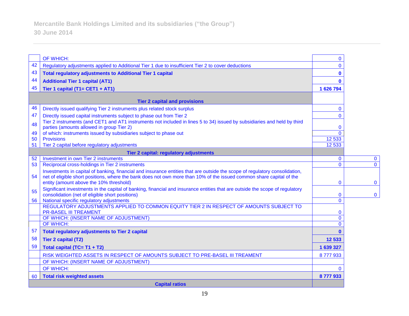|    | OF WHICH:                                                                                                                                                                                                                                                                                      | 0            |              |
|----|------------------------------------------------------------------------------------------------------------------------------------------------------------------------------------------------------------------------------------------------------------------------------------------------|--------------|--------------|
| 42 | Regulatory adjustments applied to Additional Tier 1 due to insufficient Tier 2 to cover deductions                                                                                                                                                                                             | 0            |              |
| 43 | <b>Total regulatory adjustments to Additional Tier 1 capital</b>                                                                                                                                                                                                                               | 0            |              |
| 44 | <b>Additional Tier 1 capital (AT1)</b>                                                                                                                                                                                                                                                         | n            |              |
| 45 | Tier 1 capital (T1= CET1 + AT1)                                                                                                                                                                                                                                                                | 1 626 794    |              |
|    |                                                                                                                                                                                                                                                                                                |              |              |
|    | <b>Tier 2 capital and provisions</b>                                                                                                                                                                                                                                                           |              |              |
| 46 | Directly issued qualifying Tier 2 instruments plus related stock surplus                                                                                                                                                                                                                       | $\mathbf{0}$ |              |
| 47 | Directly issued capital instruments subject to phase out from Tier 2                                                                                                                                                                                                                           | $\mathbf{0}$ |              |
| 48 | Tier 2 instruments (and CET1 and AT1 instruments not included in lines 5 to 34) issued by subsidiaries and held by third<br>parties (amounts allowed in group Tier 2)                                                                                                                          | $\mathbf{0}$ |              |
| 49 | of which: instruments issued by subsidiaries subject to phase out                                                                                                                                                                                                                              | $\Omega$     |              |
| 50 | <b>Provisions</b>                                                                                                                                                                                                                                                                              | 12 5 33      |              |
| 51 | Tier 2 capital before regulatory adjustments                                                                                                                                                                                                                                                   | 12 5 33      |              |
|    | Tier 2 capital: regulatory adjustments                                                                                                                                                                                                                                                         |              |              |
| 52 | <b>Investment in own Tier 2 instruments</b>                                                                                                                                                                                                                                                    | $\mathbf{0}$ | $\mathbf 0$  |
| 53 | Reciprocal cross-holdings in Tier 2 instruments                                                                                                                                                                                                                                                | $\Omega$     | $\mathbf{0}$ |
| 54 | Investments in capital of banking, financial and insurance entities that are outside the scope of regulatory consolidation,<br>net of eligible short positions, where the bank does not own more than 10% of the issued common share capital of the<br>entity (amount above the 10% threshold) | $\mathbf{0}$ | $\mathbf{0}$ |
| 55 | Significant investments in the capital of banking, financial and insurance entities that are outside the scope of regulatory<br>consolidation (net of eligible short positions)                                                                                                                | $\mathbf{0}$ | $\mathbf 0$  |
| 56 | National specific regulatory adjustments                                                                                                                                                                                                                                                       | $\Omega$     |              |
|    | REGULATORY ADJUSTMENTS APPLIED TO COMMON EQUITY TIER 2 IN RESPECT OF AMOUNTS SUBJECT TO<br><b>PR-BASEL III TREAMENT</b>                                                                                                                                                                        | $\mathbf{0}$ |              |
|    | OF WHICH: (INSERT NAME OF ADJUSTMENT)                                                                                                                                                                                                                                                          | $\mathbf{0}$ |              |
|    | <b>OF WHICH:</b>                                                                                                                                                                                                                                                                               | $\Omega$     |              |
| 57 | <b>Total regulatory adjustments to Tier 2 capital</b>                                                                                                                                                                                                                                          | $\mathbf{0}$ |              |
| 58 | <b>Tier 2 capital (T2)</b>                                                                                                                                                                                                                                                                     | 12 533       |              |
| 59 | Total capital (TC= T1 + T2)                                                                                                                                                                                                                                                                    | 1 639 327    |              |
|    | RISK WEIGHTED ASSETS IN RESPECT OF AMOUNTS SUBJECT TO PRE-BASEL III TREAMENT                                                                                                                                                                                                                   | 8777933      |              |
|    | OF WHICH: (INSERT NAME OF ADJUSTMENT)                                                                                                                                                                                                                                                          |              |              |
|    | OF WHICH:                                                                                                                                                                                                                                                                                      | 0            |              |
| 60 | <b>Total risk weighted assets</b>                                                                                                                                                                                                                                                              | 8777933      |              |
|    | <b>Capital ratios</b>                                                                                                                                                                                                                                                                          |              |              |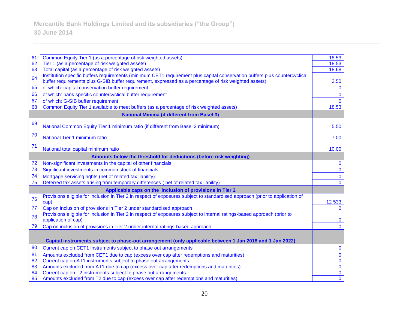| 61                                                       | Common Equity Tier 1 (as a percentage of risk weighted assets)                                                                | 18.53        |  |
|----------------------------------------------------------|-------------------------------------------------------------------------------------------------------------------------------|--------------|--|
| 62                                                       | Tier 1 (as a percentage of risk weighted assets)                                                                              | 18.53        |  |
| 63                                                       | Total capital (as a percentage of risk weighted assets)                                                                       | 18.68        |  |
| 64                                                       | Institution specific buffers requirements (minimum CET1 requirement plus capital conservation buffers plus countercyclical    |              |  |
|                                                          | buffer requirements plus G-SIB buffer requirement, expressed as a percentage of risk weighted assets)                         | 2.50         |  |
| 65                                                       | of which: capital conservation buffer requirement                                                                             | $\bf{0}$     |  |
| 66                                                       | of which: bank specific countercyclical buffer requirement                                                                    | $\mathbf 0$  |  |
| 67                                                       | of which: G-SIB buffer requirement                                                                                            | $\mathbf{0}$ |  |
| 68                                                       | Common Equity Tier 1 available to meet buffers (as a percentage of risk weighted assets)                                      | 18.53        |  |
|                                                          | <b>National Minima (if different from Basel 3)</b>                                                                            |              |  |
| 69                                                       |                                                                                                                               |              |  |
|                                                          | National Common Equity Tier 1 minimum ratio (if different from Basel 3 minimum)                                               | 5.50         |  |
| 70                                                       | National Tier 1 minimum ratio                                                                                                 | 7.00         |  |
| 71                                                       |                                                                                                                               |              |  |
|                                                          | National total capital minimum ratio                                                                                          | 10.00        |  |
|                                                          | Amounts below the threshold for deductions (before risk weighting)                                                            |              |  |
| 72                                                       | Non-significant investments in the capital of other financials                                                                | $\mathbf{0}$ |  |
| 73                                                       | Significant investments in common stock of financials                                                                         | $\bf{0}$     |  |
| 74                                                       | Mortgage servicing rights (net of related tax liability)                                                                      | $\mathbf 0$  |  |
| 75                                                       | Deferred tax assets arising from temporary differences (net of related tax liability)                                         | $\Omega$     |  |
| Applicable caps on the inclusion of provisions in Tier 2 |                                                                                                                               |              |  |
|                                                          | Provisions eligible for inclusion in Tier 2 in respect of exposures subject to standardised approach (prior to application of |              |  |
| 76                                                       | cap)                                                                                                                          | 12 5 33      |  |
| 77                                                       | Cap on inclusion of provisions in Tier 2 under standardised approach                                                          | $\Omega$     |  |
| 78                                                       | Provisions eligible for inclusion in Tier 2 in respect of exposures subject to internal ratings-based approach (prior to      |              |  |
|                                                          | application of cap)                                                                                                           | $\bf{0}$     |  |
| 79                                                       | Cap on inclusion of provisions in Tier 2 under internal ratings-based approach                                                | $\Omega$     |  |
|                                                          |                                                                                                                               |              |  |
|                                                          | Capital instruments subject to phase-out arrangement (only applicable between 1 Jan 2018 and 1 Jan 2022)                      |              |  |
| 80                                                       | Current cap on CET1 instruments subject to phase out arrangements                                                             | $\mathbf 0$  |  |
| 81                                                       | Amounts excluded from CET1 due to cap (excess over cap after redemptions and maturities)                                      | $\bf{0}$     |  |
| 82                                                       | Current cap on AT1 instruments subject to phase out arrangements                                                              | $\bf{0}$     |  |
| 83                                                       | Amounts excluded from AT1 due to cap (excess over cap after redemptions and maturities)                                       | $\mathbf 0$  |  |
| 84                                                       | Current cap on T2 instruments subject to phase out arrangements                                                               | $\bf{0}$     |  |
| 85                                                       | Amounts excluded from T2 due to cap (excess over cap after redemptions and maturities)                                        | $\mathbf 0$  |  |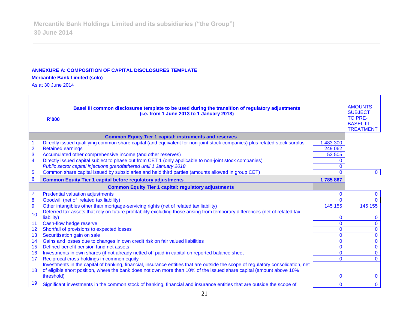#### **ANNEXURE A: COMPOSITION OF CAPITAL DISCLOSURES TEMPLATE**

#### **Mercantile Bank Limited (solo)**

As at 30 June 2014

| Basel III common disclosures template to be used during the transition of regulatory adjustments<br>(i.e. from 1 June 2013 to 1 January 2018)<br><b>R'000</b> |                                                                                                                                                                                                                                                         |                |              |  |
|---------------------------------------------------------------------------------------------------------------------------------------------------------------|---------------------------------------------------------------------------------------------------------------------------------------------------------------------------------------------------------------------------------------------------------|----------------|--------------|--|
|                                                                                                                                                               | <b>Common Equity Tier 1 capital: instruments and reserves</b>                                                                                                                                                                                           |                |              |  |
|                                                                                                                                                               | Directly issued qualifying common share capital (and equivalent for non-joint stock companies) plus related stock surplus                                                                                                                               | 483 300        |              |  |
| $\overline{2}$                                                                                                                                                | <b>Retained earnings</b>                                                                                                                                                                                                                                | 249 062        |              |  |
| 3                                                                                                                                                             | Accumulated other comprehensive income (and other reserves)                                                                                                                                                                                             | 53 505         |              |  |
| $\overline{\mathbf{4}}$                                                                                                                                       | Directly issued capital subject to phase out from CET 1 (only applicable to non-joint stock companies)                                                                                                                                                  |                |              |  |
|                                                                                                                                                               | Public sector capital injections grandfathered until 1 January 2018                                                                                                                                                                                     | 0              |              |  |
| 5                                                                                                                                                             | Common share capital issued by subsidiaries and held third parties (amounts allowed in group CET)                                                                                                                                                       | $\Omega$       | $\mathbf{0}$ |  |
| 6                                                                                                                                                             | <b>Common Equity Tier 1 capital before regulatory adjustments</b>                                                                                                                                                                                       | 1785867        |              |  |
|                                                                                                                                                               | <b>Common Equity Tier 1 capital: regulatory adjustments</b>                                                                                                                                                                                             |                |              |  |
| $\overline{7}$                                                                                                                                                | <b>Prudential valuation adjustments</b>                                                                                                                                                                                                                 | $\mathbf{0}$   | $\mathbf{0}$ |  |
| ${\bf 8}$                                                                                                                                                     | Goodwill (net of related tax liability)                                                                                                                                                                                                                 | $\Omega$       | $\Omega$     |  |
| 9                                                                                                                                                             | Other intangibles other than mortgage-servicing rights (net of related tax liability)                                                                                                                                                                   | 145 155        | 145 155      |  |
| 10                                                                                                                                                            | Deferred tax assets that rely on future profitability excluding those arising from temporary differences (net of related tax                                                                                                                            |                |              |  |
|                                                                                                                                                               | liability)                                                                                                                                                                                                                                              | 0              | $\Omega$     |  |
| 11                                                                                                                                                            | Cash-flow hedge reserve                                                                                                                                                                                                                                 | $\overline{0}$ | $\mathbf{0}$ |  |
| 12                                                                                                                                                            | Shortfall of provisions to expected losses                                                                                                                                                                                                              | $\overline{0}$ | $\mathbf 0$  |  |
| 13                                                                                                                                                            | Securitisation gain on sale                                                                                                                                                                                                                             | $\mathbf{0}$   | $\mathbf{0}$ |  |
| 14                                                                                                                                                            | Gains and losses due to changes in own credit risk on fair valued liabilities                                                                                                                                                                           | $\mathbf{0}$   | $\mathbf{0}$ |  |
| 15                                                                                                                                                            | Defined-benefit pension fund net assets                                                                                                                                                                                                                 | $\Omega$       | $\mathbf 0$  |  |
| 16                                                                                                                                                            | Investments in own shares (if not already netted off paid-in capital on reported balance sheet                                                                                                                                                          | 0              | $\mathbf 0$  |  |
| 17                                                                                                                                                            | Reciprocal cross-holdings in common equity                                                                                                                                                                                                              | $\Omega$       | $\Omega$     |  |
| 18                                                                                                                                                            | Investments in the capital of banking, financial, insurance entities that are outside the scope of regulatory consolidation, net<br>of eligible short position, where the bank does not own more than 10% of the issued share capital (amount above 10% |                |              |  |
|                                                                                                                                                               | threshold)                                                                                                                                                                                                                                              | 0              | $\mathbf{0}$ |  |
| 19                                                                                                                                                            | Significant investments in the common stock of banking, financial and insurance entities that are outside the scope of                                                                                                                                  | 0              | $\mathbf{0}$ |  |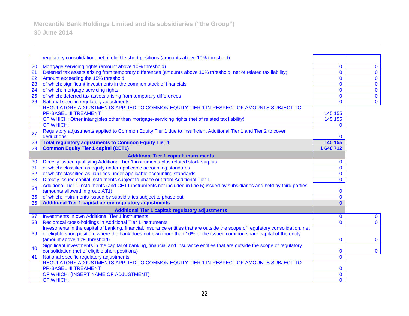**Mercantile Bank Holdings Limited and its subsidiaries ("the Group") 30 June 2014**

|    | regulatory consolidation, net of eligible short positions (amounts above 10% threshold)                                          |                |                         |
|----|----------------------------------------------------------------------------------------------------------------------------------|----------------|-------------------------|
| 20 | Mortgage servicing rights (amount above 10% threshold)                                                                           | $\mathbf 0$    | $\mathbf{0}$            |
| 21 | Deferred tax assets arising from temporary differences (amounts above 10% threshold, net of related tax liability)               | $\mathbf 0$    | $\mathbf 0$             |
| 22 | Amount exceeding the 15% threshold                                                                                               | $\mathbf 0$    | $\pmb{0}$               |
| 23 | of which: significant investments in the common stock of financials                                                              | $\mathbf{0}$   | $\mathbf 0$             |
| 24 | of which: mortgage servicing rights                                                                                              | $\mathbf 0$    | $\overline{0}$          |
| 25 | of which: deferred tax assets arising from temporary differences                                                                 | $\mathbf 0$    | $\overline{\mathbf{0}}$ |
| 26 | National specific regulatory adjustments                                                                                         | $\mathbf 0$    | $\overline{0}$          |
|    | REGULATORY ADJUSTMENTS APPLIED TO COMMON EQUITY TIER 1 IN RESPECT OF AMOUNTS SUBJECT TO                                          |                |                         |
|    | <b>PR-BASEL III TREAMENT</b>                                                                                                     | 145 155        |                         |
|    | OF WHICH: Other intangibles other than mortgage-servicing rights (net of related tax liability)                                  | 145 155        |                         |
|    | OF WHICH:                                                                                                                        | $\mathbf{0}$   |                         |
| 27 | Regulatory adjustments applied to Common Equity Tier 1 due to insufficient Additional Tier 1 and Tier 2 to cover                 |                |                         |
|    | deductions                                                                                                                       | $\Omega$       |                         |
| 28 | <b>Total regulatory adjustments to Common Equity Tier 1</b>                                                                      | 145 155        |                         |
| 29 | <b>Common Equity Tier 1 capital (CET1)</b>                                                                                       | 1 640 712      |                         |
|    | <b>Additional Tier 1 capital: instruments</b>                                                                                    |                |                         |
| 30 | Directly issued qualifying Additional Tier 1 instruments plus related stock surplus                                              | $\mathbf{0}$   |                         |
| 31 | of which: classified as equity under applicable accounting standards                                                             | $\mathbf{0}$   |                         |
| 32 | of which: classified as liabilities under applicable accounting standards                                                        | $\mathbf 0$    |                         |
| 33 | Directly issued capital instruments subject to phase out from Additional Tier 1                                                  | $\Omega$       |                         |
| 34 | Additional Tier 1 instruments (and CET1 instruments not included in line 5) issued by subsidiaries and held by third parties     |                |                         |
|    | (amounts allowed in group AT1)                                                                                                   | 0              |                         |
| 35 | of which: instruments issued by subsidiaries subject to phase out                                                                | $\mathbf 0$    |                         |
| 36 | Additional Tier 1 capital before regulatory adjustments                                                                          | $\Omega$       |                         |
|    | <b>Additional Tier 1 capital: regulatory adjustments</b>                                                                         |                |                         |
| 37 | <b>Investments in own Additional Tier 1 instruments</b>                                                                          | $\mathbf 0$    | $\mathbf 0$             |
| 38 | Reciprocal cross-holdings in Additional Tier 1 instruments                                                                       | $\overline{0}$ | $\overline{0}$          |
|    | Investments in the capital of banking, financial, insurance entities that are outside the scope of regulatory consolidation, net |                |                         |
| 39 | of eligible short position, where the bank does not own more than 10% of the issued common share capital of the entity           |                |                         |
|    | (amount above 10% threshold)                                                                                                     | $\mathbf 0$    | $\mathbf 0$             |
| 40 | Significant investments in the capital of banking, financial and insurance entities that are outside the scope of regulatory     |                |                         |
|    | consolidation (net of eligible short positions)                                                                                  | $\mathbf{0}$   | $\mathbf 0$             |
| 41 | National specific regulatory adjustments                                                                                         | $\mathbf{O}$   |                         |
|    | REGULATORY ADJUSTMENTS APPLIED TO COMMON EQUITY TIER 1 IN RESPECT OF AMOUNTS SUBJECT TO                                          |                |                         |
|    | <b>PR-BASEL III TREAMENT</b>                                                                                                     | 0              |                         |
|    | OF WHICH: (INSERT NAME OF ADJUSTMENT)                                                                                            | $\mathbf 0$    |                         |
|    | OF WHICH:                                                                                                                        | $\mathbf{0}$   |                         |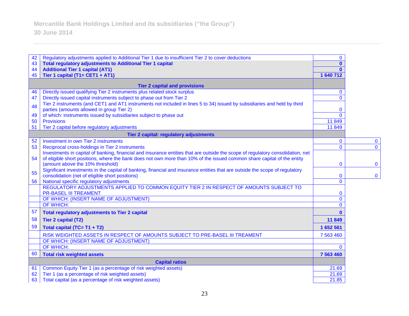| 42 | Regulatory adjustments applied to Additional Tier 1 due to insufficient Tier 2 to cover deductions                                                                                 | $\mathbf{0}$            |             |
|----|------------------------------------------------------------------------------------------------------------------------------------------------------------------------------------|-------------------------|-------------|
| 43 | <b>Total regulatory adjustments to Additional Tier 1 capital</b>                                                                                                                   | $\mathbf{0}$            |             |
| 44 | <b>Additional Tier 1 capital (AT1)</b>                                                                                                                                             | $\mathbf{0}$            |             |
| 45 | Tier 1 capital (T1= CET1 + AT1)                                                                                                                                                    | 1 640 712               |             |
|    | <b>Tier 2 capital and provisions</b>                                                                                                                                               |                         |             |
| 46 | Directly issued qualifying Tier 2 instruments plus related stock surplus                                                                                                           | $\mathbf{0}$            |             |
| 47 | Directly issued capital instruments subject to phase out from Tier 2                                                                                                               | $\Omega$                |             |
| 48 | Tier 2 instruments (and CET1 and AT1 instruments not included in lines 5 to 34) issued by subsidiaries and held by third<br>parties (amounts allowed in group Tier 2)              | $\mathbf 0$             |             |
| 49 | of which: instruments issued by subsidiaries subject to phase out                                                                                                                  | $\Omega$                |             |
| 50 | <b>Provisions</b>                                                                                                                                                                  | 11 849                  |             |
| 51 | Tier 2 capital before regulatory adjustments                                                                                                                                       | 11849                   |             |
|    |                                                                                                                                                                                    |                         |             |
| 52 | Tier 2 capital: regulatory adjustments<br>Investment in own Tier 2 instruments                                                                                                     |                         | $\mathbf 0$ |
| 53 |                                                                                                                                                                                    | $\mathbf 0$<br>$\Omega$ | $\mathbf 0$ |
|    | Reciprocal cross-holdings in Tier 2 instruments<br>Investments in capital of banking, financial and insurance entities that are outside the scope of regulatory consolidation, net |                         |             |
| 54 | of eligible short positions, where the bank does not own more than 10% of the issued common share capital of the entity                                                            |                         |             |
|    | (amount above the 10% threshold)                                                                                                                                                   | 0                       | $\bf{0}$    |
|    | Significant investments in the capital of banking, financial and insurance entities that are outside the scope of regulatory                                                       |                         |             |
| 55 | consolidation (net of eligible short positions)                                                                                                                                    | $\mathbf{0}$            | $\bf{0}$    |
| 56 | National specific regulatory adjustments                                                                                                                                           | $\overline{0}$          |             |
|    | REGULATORY ADJUSTMENTS APPLIED TO COMMON EQUITY TIER 2 IN RESPECT OF AMOUNTS SUBJECT TO                                                                                            |                         |             |
|    | <b>PR-BASEL III TREAMENT</b>                                                                                                                                                       | $\mathbf 0$             |             |
|    | OF WHICH: (INSERT NAME OF ADJUSTMENT)                                                                                                                                              | $\Omega$                |             |
|    | OF WHICH:                                                                                                                                                                          | $\Omega$                |             |
| 57 | <b>Total regulatory adjustments to Tier 2 capital</b>                                                                                                                              | $\mathbf{0}$            |             |
| 58 | <b>Tier 2 capital (T2)</b>                                                                                                                                                         | 11849                   |             |
| 59 | Total capital (TC= T1 + T2)                                                                                                                                                        | 1 652 561               |             |
|    | RISK WEIGHTED ASSETS IN RESPECT OF AMOUNTS SUBJECT TO PRE-BASEL III TREAMENT                                                                                                       | 7 563 460               |             |
|    | OF WHICH: (INSERT NAME OF ADJUSTMENT)                                                                                                                                              |                         |             |
|    | OF WHICH:                                                                                                                                                                          | $\Omega$                |             |
| 60 | <b>Total risk weighted assets</b>                                                                                                                                                  | 7 563 460               |             |
|    | <b>Capital ratios</b>                                                                                                                                                              |                         |             |
| 61 | Common Equity Tier 1 (as a percentage of risk weighted assets)                                                                                                                     | 21.69                   |             |
| 62 | Tier 1 (as a percentage of risk weighted assets)                                                                                                                                   | 21.69                   |             |
| 63 | Total capital (as a percentage of risk weighted assets)                                                                                                                            | 21.85                   |             |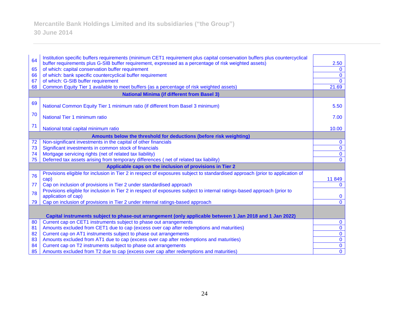| 64                                                       | Institution specific buffers requirements (minimum CET1 requirement plus capital conservation buffers plus countercyclical                                 |                      |
|----------------------------------------------------------|------------------------------------------------------------------------------------------------------------------------------------------------------------|----------------------|
| 65                                                       | buffer requirements plus G-SIB buffer requirement, expressed as a percentage of risk weighted assets)<br>of which: capital conservation buffer requirement | 2.50<br>$\mathbf{0}$ |
| 66                                                       | of which: bank specific countercyclical buffer requirement                                                                                                 | $\mathbf 0$          |
| 67                                                       | of which: G-SIB buffer requirement                                                                                                                         | $\Omega$             |
| 68                                                       | Common Equity Tier 1 available to meet buffers (as a percentage of risk weighted assets)                                                                   | 21.69                |
|                                                          |                                                                                                                                                            |                      |
|                                                          | <b>National Minima (if different from Basel 3)</b>                                                                                                         |                      |
| 69                                                       | National Common Equity Tier 1 minimum ratio (if different from Basel 3 minimum)                                                                            | 5.50                 |
| 70                                                       | National Tier 1 minimum ratio                                                                                                                              | 7.00                 |
| 71                                                       | National total capital minimum ratio                                                                                                                       | 10.00                |
|                                                          | Amounts below the threshold for deductions (before risk weighting)                                                                                         |                      |
| 72                                                       | Non-significant investments in the capital of other financials                                                                                             | $\mathbf 0$          |
| 73                                                       | Significant investments in common stock of financials                                                                                                      | $\bf{0}$             |
| 74                                                       | Mortgage servicing rights (net of related tax liability)                                                                                                   | $\bf{0}$             |
| 75                                                       | Deferred tax assets arising from temporary differences (net of related tax liability)                                                                      | $\mathbf{0}$         |
| Applicable caps on the inclusion of provisions in Tier 2 |                                                                                                                                                            |                      |
| 76                                                       | Provisions eligible for inclusion in Tier 2 in respect of exposures subject to standardised approach (prior to application of                              |                      |
|                                                          | cap)                                                                                                                                                       | 11 849               |
| 77                                                       | Cap on inclusion of provisions in Tier 2 under standardised approach                                                                                       | $\Omega$             |
| 78                                                       | Provisions eligible for inclusion in Tier 2 in respect of exposures subject to internal ratings-based approach (prior to                                   |                      |
|                                                          | application of cap)                                                                                                                                        | $\bf{0}$             |
| 79                                                       | Cap on inclusion of provisions in Tier 2 under internal ratings-based approach                                                                             | $\mathbf{0}$         |
|                                                          |                                                                                                                                                            |                      |
|                                                          | Capital instruments subject to phase-out arrangement (only applicable between 1 Jan 2018 and 1 Jan 2022)                                                   |                      |
| 80                                                       | Current cap on CET1 instruments subject to phase out arrangements                                                                                          | $\bf{0}$             |
| 81                                                       | Amounts excluded from CET1 due to cap (excess over cap after redemptions and maturities)                                                                   | $\mathbf 0$          |
| 82                                                       | Current cap on AT1 instruments subject to phase out arrangements                                                                                           | $\mathbf 0$          |
| 83                                                       | Amounts excluded from AT1 due to cap (excess over cap after redemptions and maturities)                                                                    | $\bf{0}$             |
| 84                                                       | Current cap on T2 instruments subject to phase out arrangements                                                                                            | $\bf{0}$             |
| 85                                                       | Amounts excluded from T2 due to cap (excess over cap after redemptions and maturities)                                                                     | $\mathbf 0$          |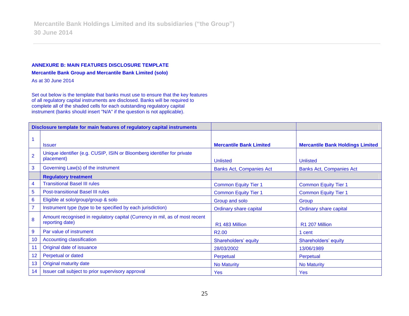#### **ANNEXURE B: MAIN FEATURES DISCLOSURE TEMPLATE**

**Mercantile Bank Group and Mercantile Bank Limited (solo)**

As at 30 June 2014

Set out below is the template that banks must use to ensure that the key features of all regulatory capital instruments are disclosed. Banks will be required to complete all of the shaded cells for each outstanding regulatory capital instrument (banks should insert "N/A" if the question is not applicable).

| Disclosure template for main features of regulatory capital instruments |                                                                                                |                                 |                                         |
|-------------------------------------------------------------------------|------------------------------------------------------------------------------------------------|---------------------------------|-----------------------------------------|
|                                                                         |                                                                                                |                                 |                                         |
|                                                                         | <b>Issuer</b>                                                                                  | <b>Mercantile Bank Limited</b>  | <b>Mercantile Bank Holdings Limited</b> |
| $\overline{2}$                                                          | Unique identifier (e.g. CUSIP, ISIN or Bloomberg identifier for private<br>placement)          | <b>Unlisted</b>                 | <b>Unlisted</b>                         |
| 3                                                                       | Governing Law(s) of the instrument                                                             | <b>Banks Act, Companies Act</b> | <b>Banks Act, Companies Act</b>         |
|                                                                         | <b>Regulatory treatment</b>                                                                    |                                 |                                         |
| $\overline{4}$                                                          | <b>Transitional Basel III rules</b>                                                            | <b>Common Equity Tier 1</b>     | <b>Common Equity Tier 1</b>             |
| $\overline{5}$                                                          | <b>Post-transitional Basel III rules</b>                                                       | <b>Common Equity Tier 1</b>     | <b>Common Equity Tier 1</b>             |
| $6\phantom{1}6$                                                         | Eligible at solo/group/group & solo                                                            | Group and solo                  | Group                                   |
| $\overline{7}$                                                          | Instrument type (type to be specified by each jurisdiction)                                    | <b>Ordinary share capital</b>   | <b>Ordinary share capital</b>           |
| 8                                                                       | Amount recognised in regulatory capital (Currency in mil, as of most recent<br>reporting date) | R1 483 Million                  | R1 207 Million                          |
| $\overline{9}$                                                          | Par value of instrument                                                                        | R <sub>2.00</sub>               | 1 cent                                  |
| 10                                                                      | <b>Accounting classification</b>                                                               | Shareholders' equity            | Shareholders' equity                    |
| 11                                                                      | Original date of issuance                                                                      | 28/03/2002                      | 13/06/1989                              |
| 12                                                                      | Perpetual or dated                                                                             | Perpetual                       | Perpetual                               |
| 13                                                                      | <b>Original maturity date</b>                                                                  | <b>No Maturity</b>              | <b>No Maturity</b>                      |
| 14                                                                      | Issuer call subject to prior supervisory approval                                              | <b>Yes</b>                      | <b>Yes</b>                              |